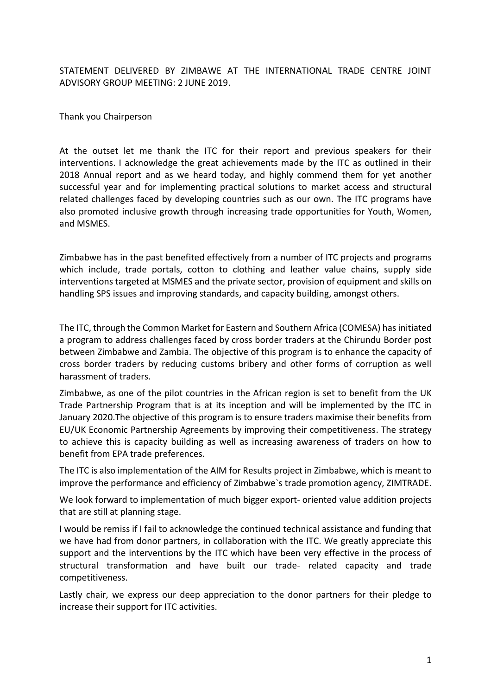STATEMENT DELIVERED BY ZIMBAWE AT THE INTERNATIONAL TRADE CENTRE JOINT ADVISORY GROUP MEETING: 2 JUNE 2019.

## Thank you Chairperson

At the outset let me thank the ITC for their report and previous speakers for their interventions. I acknowledge the great achievements made by the ITC as outlined in their 2018 Annual report and as we heard today, and highly commend them for yet another successful year and for implementing practical solutions to market access and structural related challenges faced by developing countries such as our own. The ITC programs have also promoted inclusive growth through increasing trade opportunities for Youth, Women, and MSMES.

Zimbabwe has in the past benefited effectively from a number of ITC projects and programs which include, trade portals, cotton to clothing and leather value chains, supply side interventions targeted at MSMES and the private sector, provision of equipment and skills on handling SPS issues and improving standards, and capacity building, amongst others.

The ITC, through the Common Market for Eastern and Southern Africa (COMESA) has initiated a program to address challenges faced by cross border traders at the Chirundu Border post between Zimbabwe and Zambia. The objective of this program is to enhance the capacity of cross border traders by reducing customs bribery and other forms of corruption as well harassment of traders.

Zimbabwe, as one of the pilot countries in the African region is set to benefit from the UK Trade Partnership Program that is at its inception and will be implemented by the ITC in January 2020.The objective of this program is to ensure traders maximise their benefits from EU/UK Economic Partnership Agreements by improving their competitiveness. The strategy to achieve this is capacity building as well as increasing awareness of traders on how to benefit from EPA trade preferences.

The ITC is also implementation of the AIM for Results project in Zimbabwe, which is meant to improve the performance and efficiency of Zimbabwe`s trade promotion agency, ZIMTRADE.

We look forward to implementation of much bigger export- oriented value addition projects that are still at planning stage.

I would be remiss if I fail to acknowledge the continued technical assistance and funding that we have had from donor partners, in collaboration with the ITC. We greatly appreciate this support and the interventions by the ITC which have been very effective in the process of structural transformation and have built our trade- related capacity and trade competitiveness.

Lastly chair, we express our deep appreciation to the donor partners for their pledge to increase their support for ITC activities.